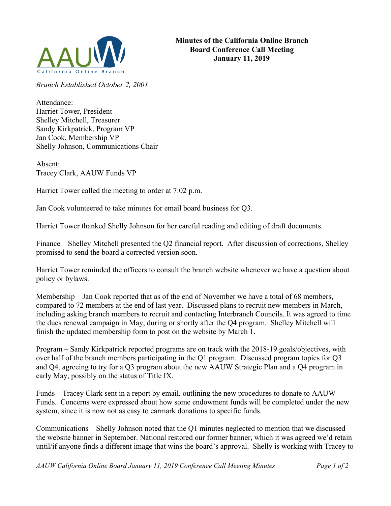

*Branch Established October 2, 2001*

Attendance: Harriet Tower, President Shelley Mitchell, Treasurer Sandy Kirkpatrick, Program VP Jan Cook, Membership VP Shelly Johnson, Communications Chair

Absent: Tracey Clark, AAUW Funds VP

Harriet Tower called the meeting to order at 7:02 p.m.

Jan Cook volunteered to take minutes for email board business for Q3.

Harriet Tower thanked Shelly Johnson for her careful reading and editing of draft documents.

Finance – Shelley Mitchell presented the Q2 financial report. After discussion of corrections, Shelley promised to send the board a corrected version soon.

Harriet Tower reminded the officers to consult the branch website whenever we have a question about policy or bylaws.

Membership – Jan Cook reported that as of the end of November we have a total of 68 members, compared to 72 members at the end of last year. Discussed plans to recruit new members in March, including asking branch members to recruit and contacting Interbranch Councils. It was agreed to time the dues renewal campaign in May, during or shortly after the Q4 program. Shelley Mitchell will finish the updated membership form to post on the website by March 1.

Program – Sandy Kirkpatrick reported programs are on track with the 2018-19 goals/objectives, with over half of the branch members participating in the Q1 program. Discussed program topics for Q3 and Q4, agreeing to try for a Q3 program about the new AAUW Strategic Plan and a Q4 program in early May, possibly on the status of Title IX.

Funds – Tracey Clark sent in a report by email, outlining the new procedures to donate to AAUW Funds. Concerns were expressed about how some endowment funds will be completed under the new system, since it is now not as easy to earmark donations to specific funds.

Communications – Shelly Johnson noted that the Q1 minutes neglected to mention that we discussed the website banner in September. National restored our former banner, which it was agreed we'd retain until/if anyone finds a different image that wins the board's approval. Shelly is working with Tracey to